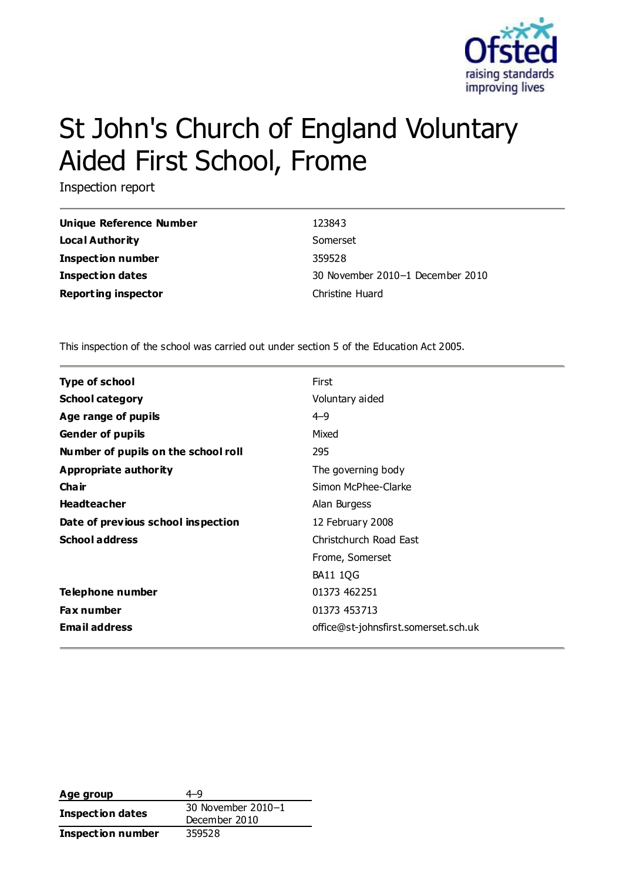

# St John's Church of England Voluntary Aided First School, Frome

Inspection report

| Unique Reference Number    | 123843                           |
|----------------------------|----------------------------------|
| Local Authority            | Somerset                         |
| <b>Inspection number</b>   | 359528                           |
| <b>Inspection dates</b>    | 30 November 2010-1 December 2010 |
| <b>Reporting inspector</b> | Christine Huard                  |

This inspection of the school was carried out under section 5 of the Education Act 2005.

| <b>Type of school</b>               | First                                |
|-------------------------------------|--------------------------------------|
| <b>School category</b>              | Voluntary aided                      |
| Age range of pupils                 | $4 - 9$                              |
| <b>Gender of pupils</b>             | Mixed                                |
| Number of pupils on the school roll | 295                                  |
| Appropriate authority               | The governing body                   |
| <b>Chair</b>                        | Simon McPhee-Clarke                  |
| <b>Headteacher</b>                  | Alan Burgess                         |
| Date of previous school inspection  | 12 February 2008                     |
| <b>School address</b>               | Christchurch Road East               |
|                                     | Frome, Somerset                      |
|                                     | <b>BA11 1QG</b>                      |
| Telephone number                    | 01373 462251                         |
| <b>Fax number</b>                   | 01373 453713                         |
| <b>Email address</b>                | office@st-johnsfirst.somerset.sch.uk |

| Age group                | 4-9                |
|--------------------------|--------------------|
|                          | 30 November 2010-1 |
| Inspection dates         | December 2010      |
| <b>Inspection number</b> | 359528             |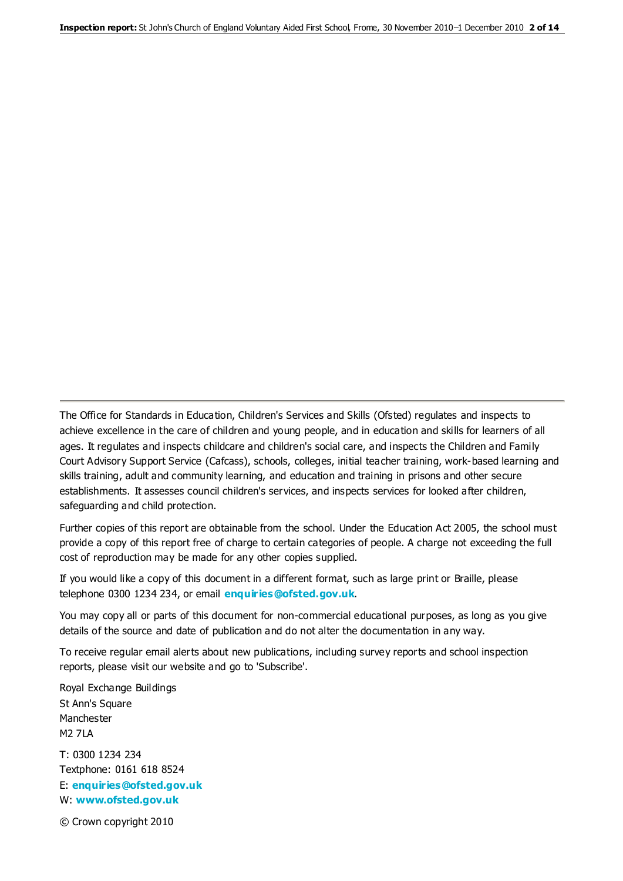The Office for Standards in Education, Children's Services and Skills (Ofsted) regulates and inspects to achieve excellence in the care of children and young people, and in education and skills for learners of all ages. It regulates and inspects childcare and children's social care, and inspects the Children and Family Court Advisory Support Service (Cafcass), schools, colleges, initial teacher training, work-based learning and skills training, adult and community learning, and education and training in prisons and other secure establishments. It assesses council children's services, and inspects services for looked after children, safeguarding and child protection.

Further copies of this report are obtainable from the school. Under the Education Act 2005, the school must provide a copy of this report free of charge to certain categories of people. A charge not exceeding the full cost of reproduction may be made for any other copies supplied.

If you would like a copy of this document in a different format, such as large print or Braille, please telephone 0300 1234 234, or email **[enquiries@ofsted.gov.uk](mailto:enquiries@ofsted.gov.uk)**.

You may copy all or parts of this document for non-commercial educational purposes, as long as you give details of the source and date of publication and do not alter the documentation in any way.

To receive regular email alerts about new publications, including survey reports and school inspection reports, please visit our website and go to 'Subscribe'.

Royal Exchange Buildings St Ann's Square Manchester M2 7LA T: 0300 1234 234 Textphone: 0161 618 8524 E: **[enquiries@ofsted.gov.uk](mailto:enquiries@ofsted.gov.uk)** W: **[www.ofsted.gov.uk](http://www.ofsted.gov.uk/)**

© Crown copyright 2010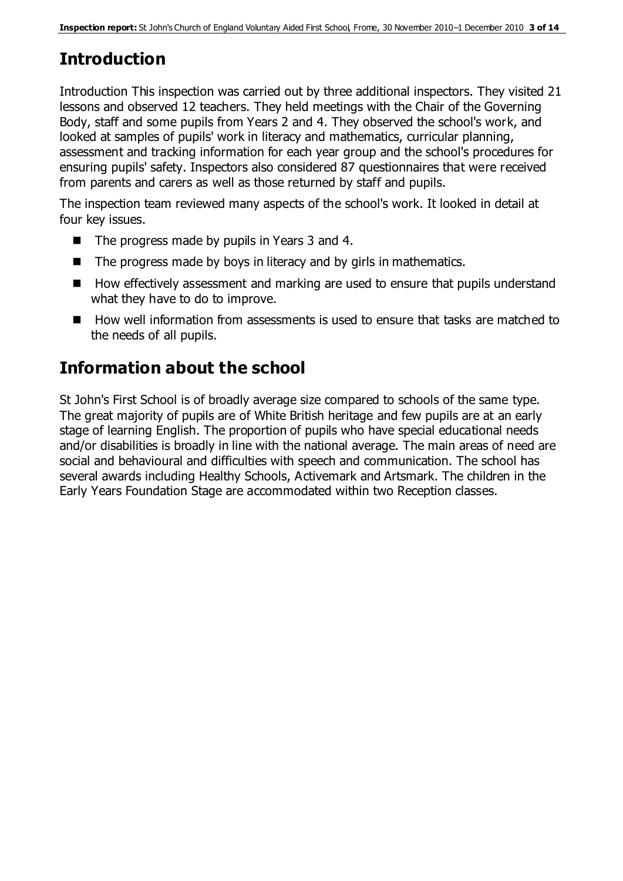# **Introduction**

Introduction This inspection was carried out by three additional inspectors. They visited 21 lessons and observed 12 teachers. They held meetings with the Chair of the Governing Body, staff and some pupils from Years 2 and 4. They observed the school's work, and looked at samples of pupils' work in literacy and mathematics, curricular planning, assessment and tracking information for each year group and the school's procedures for ensuring pupils' safety. Inspectors also considered 87 questionnaires that were received from parents and carers as well as those returned by staff and pupils.

The inspection team reviewed many aspects of the school's work. It looked in detail at four key issues.

- The progress made by pupils in Years 3 and 4.
- $\blacksquare$  The progress made by boys in literacy and by girls in mathematics.
- How effectively assessment and marking are used to ensure that pupils understand what they have to do to improve.
- How well information from assessments is used to ensure that tasks are matched to the needs of all pupils.

# **Information about the school**

St John's First School is of broadly average size compared to schools of the same type. The great majority of pupils are of White British heritage and few pupils are at an early stage of learning English. The proportion of pupils who have special educational needs and/or disabilities is broadly in line with the national average. The main areas of need are social and behavioural and difficulties with speech and communication. The school has several awards including Healthy Schools, Activemark and Artsmark. The children in the Early Years Foundation Stage are accommodated within two Reception classes.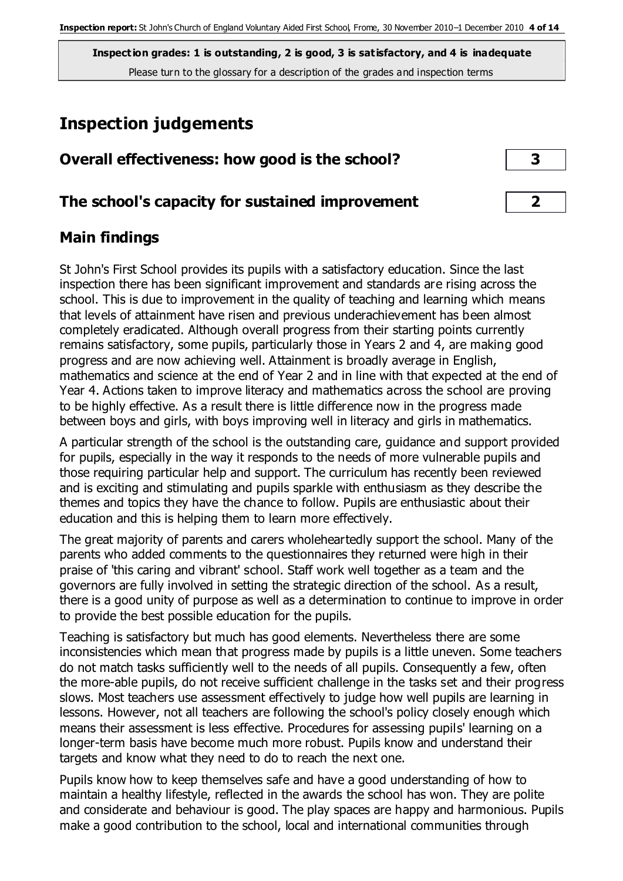# **Inspection judgements**

| Overall effectiveness: how good is the school?  |  |
|-------------------------------------------------|--|
| The school's capacity for sustained improvement |  |

## **Main findings**

St John's First School provides its pupils with a satisfactory education. Since the last inspection there has been significant improvement and standards are rising across the school. This is due to improvement in the quality of teaching and learning which means that levels of attainment have risen and previous underachievement has been almost completely eradicated. Although overall progress from their starting points currently remains satisfactory, some pupils, particularly those in Years 2 and 4, are making good progress and are now achieving well. Attainment is broadly average in English, mathematics and science at the end of Year 2 and in line with that expected at the end of Year 4. Actions taken to improve literacy and mathematics across the school are proving to be highly effective. As a result there is little difference now in the progress made between boys and girls, with boys improving well in literacy and girls in mathematics.

A particular strength of the school is the outstanding care, guidance and support provided for pupils, especially in the way it responds to the needs of more vulnerable pupils and those requiring particular help and support. The curriculum has recently been reviewed and is exciting and stimulating and pupils sparkle with enthusiasm as they describe the themes and topics they have the chance to follow. Pupils are enthusiastic about their education and this is helping them to learn more effectively.

The great majority of parents and carers wholeheartedly support the school. Many of the parents who added comments to the questionnaires they returned were high in their praise of 'this caring and vibrant' school. Staff work well together as a team and the governors are fully involved in setting the strategic direction of the school. As a result, there is a good unity of purpose as well as a determination to continue to improve in order to provide the best possible education for the pupils.

Teaching is satisfactory but much has good elements. Nevertheless there are some inconsistencies which mean that progress made by pupils is a little uneven. Some teachers do not match tasks sufficiently well to the needs of all pupils. Consequently a few, often the more-able pupils, do not receive sufficient challenge in the tasks set and their progress slows. Most teachers use assessment effectively to judge how well pupils are learning in lessons. However, not all teachers are following the school's policy closely enough which means their assessment is less effective. Procedures for assessing pupils' learning on a longer-term basis have become much more robust. Pupils know and understand their targets and know what they need to do to reach the next one.

Pupils know how to keep themselves safe and have a good understanding of how to maintain a healthy lifestyle, reflected in the awards the school has won. They are polite and considerate and behaviour is good. The play spaces are happy and harmonious. Pupils make a good contribution to the school, local and international communities through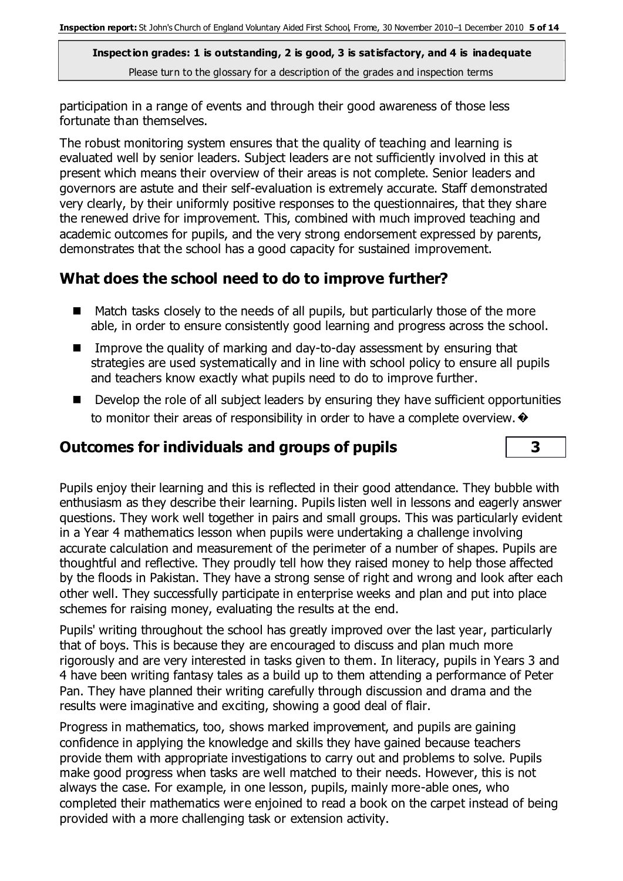participation in a range of events and through their good awareness of those less fortunate than themselves.

The robust monitoring system ensures that the quality of teaching and learning is evaluated well by senior leaders. Subject leaders are not sufficiently involved in this at present which means their overview of their areas is not complete. Senior leaders and governors are astute and their self-evaluation is extremely accurate. Staff demonstrated very clearly, by their uniformly positive responses to the questionnaires, that they share the renewed drive for improvement. This, combined with much improved teaching and academic outcomes for pupils, and the very strong endorsement expressed by parents, demonstrates that the school has a good capacity for sustained improvement.

## **What does the school need to do to improve further?**

- Match tasks closely to the needs of all pupils, but particularly those of the more able, in order to ensure consistently good learning and progress across the school.
- Improve the quality of marking and day-to-day assessment by ensuring that strategies are used systematically and in line with school policy to ensure all pupils and teachers know exactly what pupils need to do to improve further.
- Develop the role of all subject leaders by ensuring they have sufficient opportunities to monitor their areas of responsibility in order to have a complete overview.  $\bullet$

## **Outcomes for individuals and groups of pupils 3**

Pupils enjoy their learning and this is reflected in their good attendance. They bubble with enthusiasm as they describe their learning. Pupils listen well in lessons and eagerly answer questions. They work well together in pairs and small groups. This was particularly evident in a Year 4 mathematics lesson when pupils were undertaking a challenge involving accurate calculation and measurement of the perimeter of a number of shapes. Pupils are thoughtful and reflective. They proudly tell how they raised money to help those affected by the floods in Pakistan. They have a strong sense of right and wrong and look after each other well. They successfully participate in enterprise weeks and plan and put into place schemes for raising money, evaluating the results at the end.

Pupils' writing throughout the school has greatly improved over the last year, particularly that of boys. This is because they are encouraged to discuss and plan much more rigorously and are very interested in tasks given to them. In literacy, pupils in Years 3 and 4 have been writing fantasy tales as a build up to them attending a performance of Peter Pan. They have planned their writing carefully through discussion and drama and the results were imaginative and exciting, showing a good deal of flair.

Progress in mathematics, too, shows marked improvement, and pupils are gaining confidence in applying the knowledge and skills they have gained because teachers provide them with appropriate investigations to carry out and problems to solve. Pupils make good progress when tasks are well matched to their needs. However, this is not always the case. For example, in one lesson, pupils, mainly more-able ones, who completed their mathematics were enjoined to read a book on the carpet instead of being provided with a more challenging task or extension activity.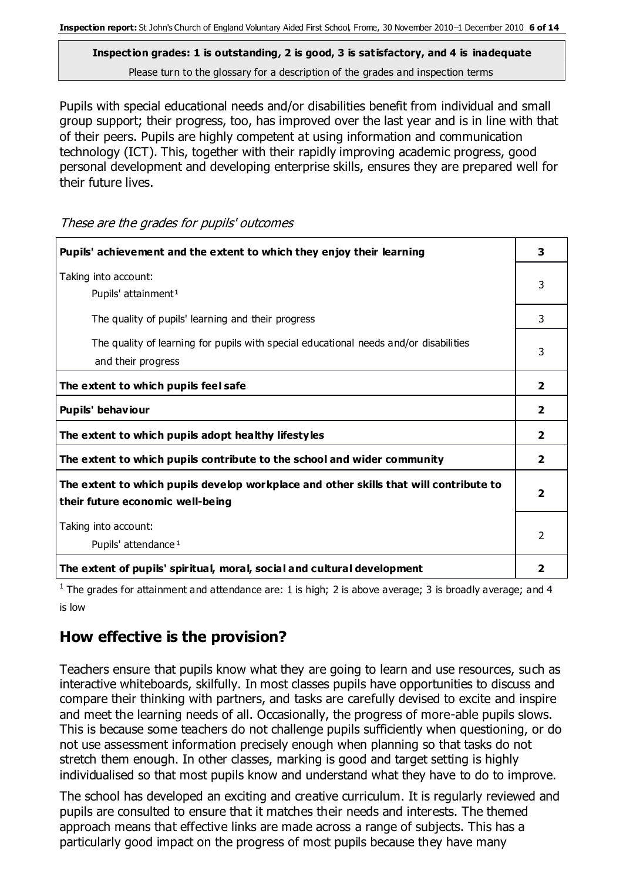Pupils with special educational needs and/or disabilities benefit from individual and small group support; their progress, too, has improved over the last year and is in line with that of their peers. Pupils are highly competent at using information and communication technology (ICT). This, together with their rapidly improving academic progress, good personal development and developing enterprise skills, ensures they are prepared well for their future lives.

| Pupils' achievement and the extent to which they enjoy their learning                                                     |                         |
|---------------------------------------------------------------------------------------------------------------------------|-------------------------|
| Taking into account:<br>Pupils' attainment <sup>1</sup>                                                                   | 3                       |
| The quality of pupils' learning and their progress                                                                        | 3                       |
| The quality of learning for pupils with special educational needs and/or disabilities<br>and their progress               | 3                       |
| The extent to which pupils feel safe                                                                                      | $\overline{2}$          |
| Pupils' behaviour                                                                                                         | $\overline{\mathbf{2}}$ |
| The extent to which pupils adopt healthy lifestyles                                                                       | $\overline{2}$          |
| The extent to which pupils contribute to the school and wider community                                                   | $\overline{2}$          |
| The extent to which pupils develop workplace and other skills that will contribute to<br>their future economic well-being | $\overline{\mathbf{2}}$ |
| Taking into account:<br>Pupils' attendance <sup>1</sup>                                                                   | 2                       |
| The extent of pupils' spiritual, moral, social and cultural development                                                   | $\overline{2}$          |

These are the grades for pupils' outcomes

<sup>1</sup> The grades for attainment and attendance are: 1 is high; 2 is above average; 3 is broadly average; and 4 is low

#### **How effective is the provision?**

Teachers ensure that pupils know what they are going to learn and use resources, such as interactive whiteboards, skilfully. In most classes pupils have opportunities to discuss and compare their thinking with partners, and tasks are carefully devised to excite and inspire and meet the learning needs of all. Occasionally, the progress of more-able pupils slows. This is because some teachers do not challenge pupils sufficiently when questioning, or do not use assessment information precisely enough when planning so that tasks do not stretch them enough. In other classes, marking is good and target setting is highly individualised so that most pupils know and understand what they have to do to improve.

The school has developed an exciting and creative curriculum. It is regularly reviewed and pupils are consulted to ensure that it matches their needs and interests. The themed approach means that effective links are made across a range of subjects. This has a particularly good impact on the progress of most pupils because they have many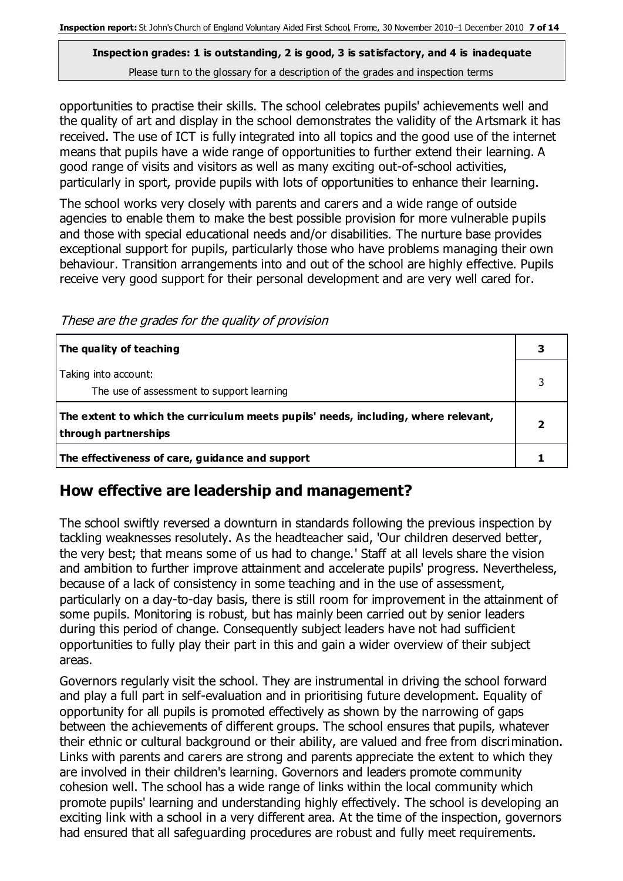opportunities to practise their skills. The school celebrates pupils' achievements well and the quality of art and display in the school demonstrates the validity of the Artsmark it has received. The use of ICT is fully integrated into all topics and the good use of the internet means that pupils have a wide range of opportunities to further extend their learning. A good range of visits and visitors as well as many exciting out-of-school activities, particularly in sport, provide pupils with lots of opportunities to enhance their learning.

The school works very closely with parents and carers and a wide range of outside agencies to enable them to make the best possible provision for more vulnerable pupils and those with special educational needs and/or disabilities. The nurture base provides exceptional support for pupils, particularly those who have problems managing their own behaviour. Transition arrangements into and out of the school are highly effective. Pupils receive very good support for their personal development and are very well cared for.

These are the grades for the quality of provision

| The quality of teaching                                                                                    |  |
|------------------------------------------------------------------------------------------------------------|--|
| Taking into account:<br>The use of assessment to support learning                                          |  |
| The extent to which the curriculum meets pupils' needs, including, where relevant,<br>through partnerships |  |
| The effectiveness of care, guidance and support                                                            |  |

## **How effective are leadership and management?**

The school swiftly reversed a downturn in standards following the previous inspection by tackling weaknesses resolutely. As the headteacher said, 'Our children deserved better, the very best; that means some of us had to change.' Staff at all levels share the vision and ambition to further improve attainment and accelerate pupils' progress. Nevertheless, because of a lack of consistency in some teaching and in the use of assessment, particularly on a day-to-day basis, there is still room for improvement in the attainment of some pupils. Monitoring is robust, but has mainly been carried out by senior leaders during this period of change. Consequently subject leaders have not had sufficient opportunities to fully play their part in this and gain a wider overview of their subject areas.

Governors regularly visit the school. They are instrumental in driving the school forward and play a full part in self-evaluation and in prioritising future development. Equality of opportunity for all pupils is promoted effectively as shown by the narrowing of gaps between the achievements of different groups. The school ensures that pupils, whatever their ethnic or cultural background or their ability, are valued and free from discrimination. Links with parents and carers are strong and parents appreciate the extent to which they are involved in their children's learning. Governors and leaders promote community cohesion well. The school has a wide range of links within the local community which promote pupils' learning and understanding highly effectively. The school is developing an exciting link with a school in a very different area. At the time of the inspection, governors had ensured that all safeguarding procedures are robust and fully meet requirements.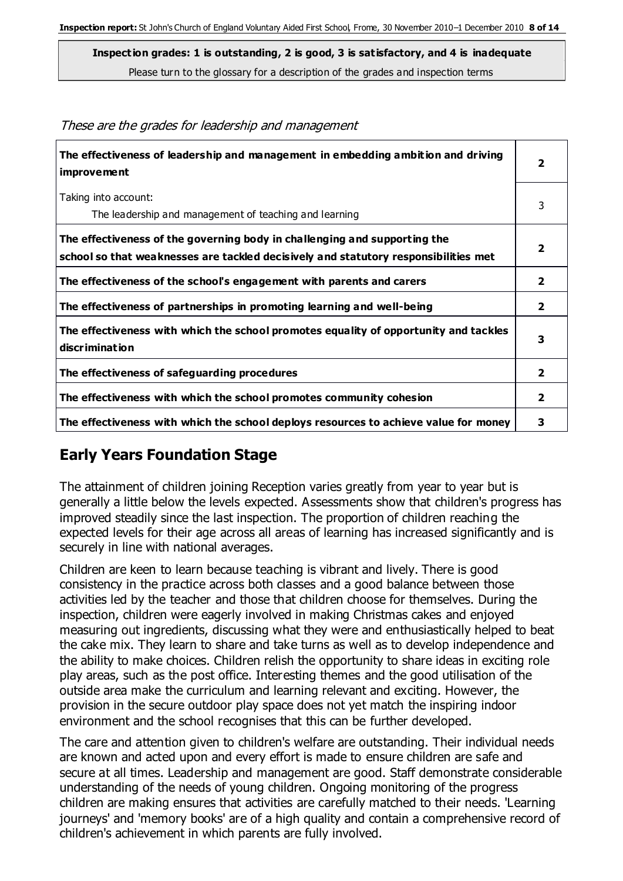| The effectiveness of leadership and management in embedding ambition and driving<br>improvement                                                                  | 2              |
|------------------------------------------------------------------------------------------------------------------------------------------------------------------|----------------|
| Taking into account:<br>The leadership and management of teaching and learning                                                                                   | 3              |
| The effectiveness of the governing body in challenging and supporting the<br>school so that weaknesses are tackled decisively and statutory responsibilities met |                |
| The effectiveness of the school's engagement with parents and carers                                                                                             | 2              |
| The effectiveness of partnerships in promoting learning and well-being                                                                                           | 2              |
| The effectiveness with which the school promotes equality of opportunity and tackles<br>discrimination                                                           | 3              |
| The effectiveness of safeguarding procedures                                                                                                                     | $\overline{2}$ |
| The effectiveness with which the school promotes community cohesion                                                                                              | 2              |
| The effectiveness with which the school deploys resources to achieve value for money                                                                             | 3              |

These are the grades for leadership and management

## **Early Years Foundation Stage**

The attainment of children joining Reception varies greatly from year to year but is generally a little below the levels expected. Assessments show that children's progress has improved steadily since the last inspection. The proportion of children reaching the expected levels for their age across all areas of learning has increased significantly and is securely in line with national averages.

Children are keen to learn because teaching is vibrant and lively. There is good consistency in the practice across both classes and a good balance between those activities led by the teacher and those that children choose for themselves. During the inspection, children were eagerly involved in making Christmas cakes and enjoyed measuring out ingredients, discussing what they were and enthusiastically helped to beat the cake mix. They learn to share and take turns as well as to develop independence and the ability to make choices. Children relish the opportunity to share ideas in exciting role play areas, such as the post office. Interesting themes and the good utilisation of the outside area make the curriculum and learning relevant and exciting. However, the provision in the secure outdoor play space does not yet match the inspiring indoor environment and the school recognises that this can be further developed.

The care and attention given to children's welfare are outstanding. Their individual needs are known and acted upon and every effort is made to ensure children are safe and secure at all times. Leadership and management are good. Staff demonstrate considerable understanding of the needs of young children. Ongoing monitoring of the progress children are making ensures that activities are carefully matched to their needs. 'Learning journeys' and 'memory books' are of a high quality and contain a comprehensive record of children's achievement in which parents are fully involved.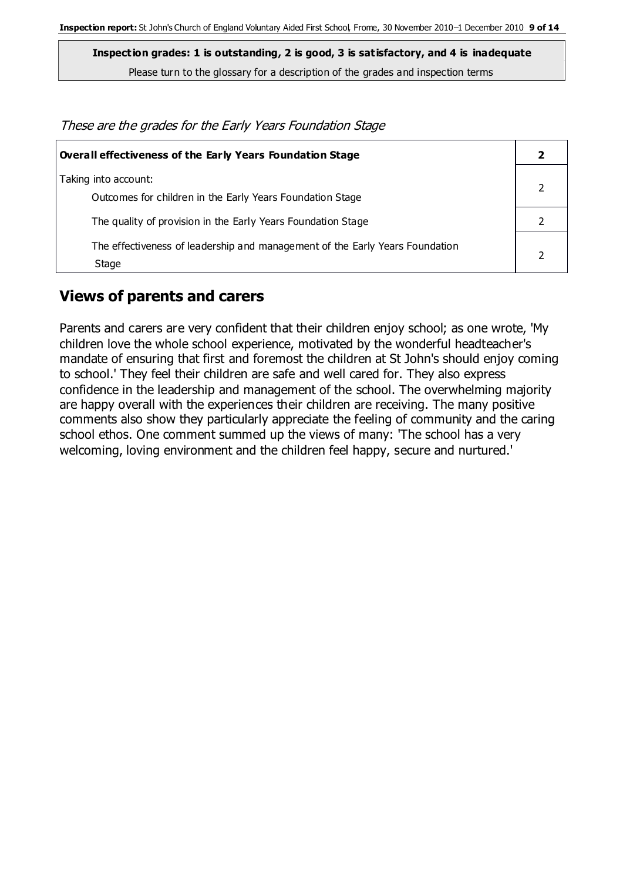**Inspection grades: 1 is outstanding, 2 is good, 3 is satisfactory, and 4 is inadequate**

Please turn to the glossary for a description of the grades and inspection terms

| These are the grades for the Early Years Foundation Stage |  |
|-----------------------------------------------------------|--|
|-----------------------------------------------------------|--|

| Overall effectiveness of the Early Years Foundation Stage                             |  |
|---------------------------------------------------------------------------------------|--|
| Taking into account:<br>Outcomes for children in the Early Years Foundation Stage     |  |
| The quality of provision in the Early Years Foundation Stage                          |  |
| The effectiveness of leadership and management of the Early Years Foundation<br>Stage |  |

#### **Views of parents and carers**

Parents and carers are very confident that their children enjoy school; as one wrote, 'My children love the whole school experience, motivated by the wonderful headteacher's mandate of ensuring that first and foremost the children at St John's should enjoy coming to school.' They feel their children are safe and well cared for. They also express confidence in the leadership and management of the school. The overwhelming majority are happy overall with the experiences their children are receiving. The many positive comments also show they particularly appreciate the feeling of community and the caring school ethos. One comment summed up the views of many: 'The school has a very welcoming, loving environment and the children feel happy, secure and nurtured.'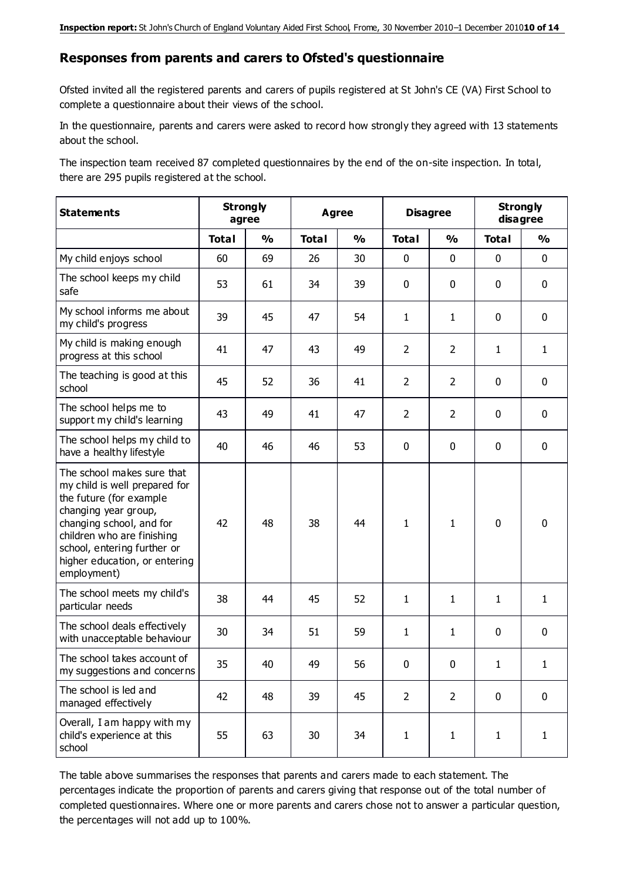#### **Responses from parents and carers to Ofsted's questionnaire**

Ofsted invited all the registered parents and carers of pupils registered at St John's CE (VA) First School to complete a questionnaire about their views of the school.

In the questionnaire, parents and carers were asked to record how strongly they agreed with 13 statements about the school.

The inspection team received 87 completed questionnaires by the end of the on-site inspection. In total, there are 295 pupils registered at the school.

| <b>Statements</b>                                                                                                                                                                                                                                       |              | <b>Strongly</b><br>agree | Agree        |               | <b>Disagree</b> |                | <b>Strongly</b><br>disagree |               |
|---------------------------------------------------------------------------------------------------------------------------------------------------------------------------------------------------------------------------------------------------------|--------------|--------------------------|--------------|---------------|-----------------|----------------|-----------------------------|---------------|
|                                                                                                                                                                                                                                                         | <b>Total</b> | $\frac{1}{2}$            | <b>Total</b> | $\frac{1}{2}$ | <b>Total</b>    | $\frac{0}{0}$  | <b>Total</b>                | $\frac{0}{0}$ |
| My child enjoys school                                                                                                                                                                                                                                  | 60           | 69                       | 26           | 30            | 0               | $\mathbf 0$    | $\mathbf 0$                 | $\mathbf 0$   |
| The school keeps my child<br>safe                                                                                                                                                                                                                       | 53           | 61                       | 34           | 39            | 0               | $\mathbf 0$    | $\mathbf 0$                 | $\mathbf 0$   |
| My school informs me about<br>my child's progress                                                                                                                                                                                                       | 39           | 45                       | 47           | 54            | $\mathbf{1}$    | $\mathbf{1}$   | $\mathbf 0$                 | $\mathbf 0$   |
| My child is making enough<br>progress at this school                                                                                                                                                                                                    | 41           | 47                       | 43           | 49            | $\overline{2}$  | $\overline{2}$ | $\mathbf{1}$                | $\mathbf{1}$  |
| The teaching is good at this<br>school                                                                                                                                                                                                                  | 45           | 52                       | 36           | 41            | $\overline{2}$  | $\overline{2}$ | 0                           | $\mathbf 0$   |
| The school helps me to<br>support my child's learning                                                                                                                                                                                                   | 43           | 49                       | 41           | 47            | $\overline{2}$  | $\overline{2}$ | $\mathbf 0$                 | $\mathbf 0$   |
| The school helps my child to<br>have a healthy lifestyle                                                                                                                                                                                                | 40           | 46                       | 46           | 53            | 0               | $\mathbf 0$    | $\mathbf 0$                 | $\mathbf 0$   |
| The school makes sure that<br>my child is well prepared for<br>the future (for example<br>changing year group,<br>changing school, and for<br>children who are finishing<br>school, entering further or<br>higher education, or entering<br>employment) | 42           | 48                       | 38           | 44            | $\mathbf{1}$    | $\mathbf{1}$   | $\mathbf 0$                 | $\mathbf 0$   |
| The school meets my child's<br>particular needs                                                                                                                                                                                                         | 38           | 44                       | 45           | 52            | $\mathbf{1}$    | $\mathbf{1}$   | $\mathbf{1}$                | $\mathbf{1}$  |
| The school deals effectively<br>with unacceptable behaviour                                                                                                                                                                                             | 30           | 34                       | 51           | 59            | $\mathbf{1}$    | $\mathbf{1}$   | $\mathbf 0$                 | $\mathbf 0$   |
| The school takes account of<br>my suggestions and concerns                                                                                                                                                                                              | 35           | 40                       | 49           | 56            | $\mathbf{0}$    | $\mathbf{0}$   | 1                           | 1             |
| The school is led and<br>managed effectively                                                                                                                                                                                                            | 42           | 48                       | 39           | 45            | $\overline{2}$  | $\overline{2}$ | $\mathbf 0$                 | $\mathbf 0$   |
| Overall, I am happy with my<br>child's experience at this<br>school                                                                                                                                                                                     | 55           | 63                       | 30           | 34            | $\mathbf{1}$    | $\mathbf{1}$   | $\mathbf{1}$                | $\mathbf{1}$  |

The table above summarises the responses that parents and carers made to each statement. The percentages indicate the proportion of parents and carers giving that response out of the total number of completed questionnaires. Where one or more parents and carers chose not to answer a particular question, the percentages will not add up to 100%.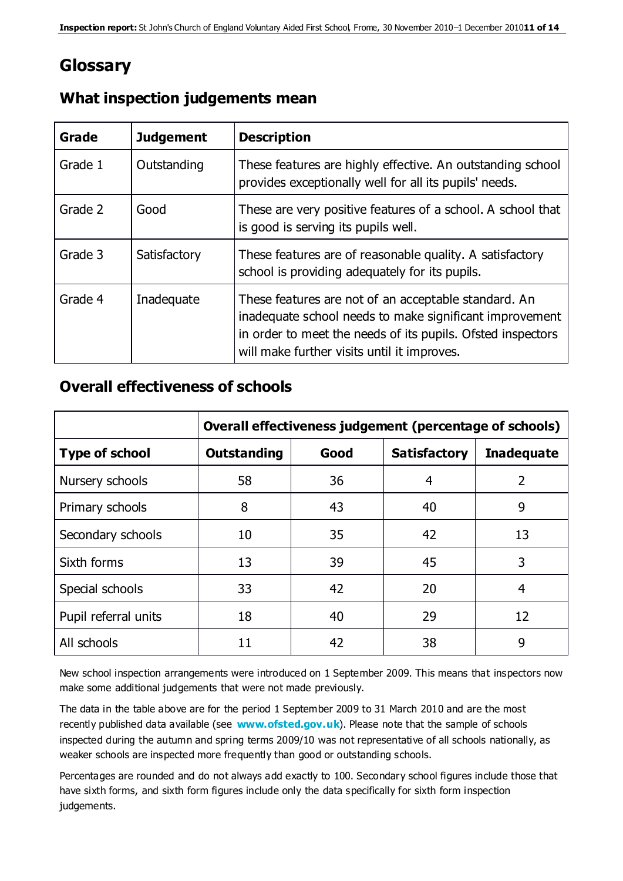# **Glossary**

| Grade   | <b>Judgement</b> | <b>Description</b>                                                                                                                                                                                                            |
|---------|------------------|-------------------------------------------------------------------------------------------------------------------------------------------------------------------------------------------------------------------------------|
| Grade 1 | Outstanding      | These features are highly effective. An outstanding school<br>provides exceptionally well for all its pupils' needs.                                                                                                          |
| Grade 2 | Good             | These are very positive features of a school. A school that<br>is good is serving its pupils well.                                                                                                                            |
| Grade 3 | Satisfactory     | These features are of reasonable quality. A satisfactory<br>school is providing adequately for its pupils.                                                                                                                    |
| Grade 4 | Inadequate       | These features are not of an acceptable standard. An<br>inadequate school needs to make significant improvement<br>in order to meet the needs of its pupils. Ofsted inspectors<br>will make further visits until it improves. |

#### **What inspection judgements mean**

## **Overall effectiveness of schools**

|                       | Overall effectiveness judgement (percentage of schools) |      |                     |                   |  |
|-----------------------|---------------------------------------------------------|------|---------------------|-------------------|--|
| <b>Type of school</b> | <b>Outstanding</b>                                      | Good | <b>Satisfactory</b> | <b>Inadequate</b> |  |
| Nursery schools       | 58                                                      | 36   | 4                   | 2                 |  |
| Primary schools       | 8                                                       | 43   | 40                  | 9                 |  |
| Secondary schools     | 10                                                      | 35   | 42                  | 13                |  |
| Sixth forms           | 13                                                      | 39   | 45                  | 3                 |  |
| Special schools       | 33                                                      | 42   | 20                  | 4                 |  |
| Pupil referral units  | 18                                                      | 40   | 29                  | 12                |  |
| All schools           | 11                                                      | 42   | 38                  | 9                 |  |

New school inspection arrangements were introduced on 1 September 2009. This means that inspectors now make some additional judgements that were not made previously.

The data in the table above are for the period 1 September 2009 to 31 March 2010 and are the most recently published data available (see **[www.ofsted.gov.uk](http://www.ofsted.gov.uk/)**). Please note that the sample of schools inspected during the autumn and spring terms 2009/10 was not representative of all schools nationally, as weaker schools are inspected more frequently than good or outstanding schools.

Percentages are rounded and do not always add exactly to 100. Secondary school figures include those that have sixth forms, and sixth form figures include only the data specifically for sixth form inspection judgements.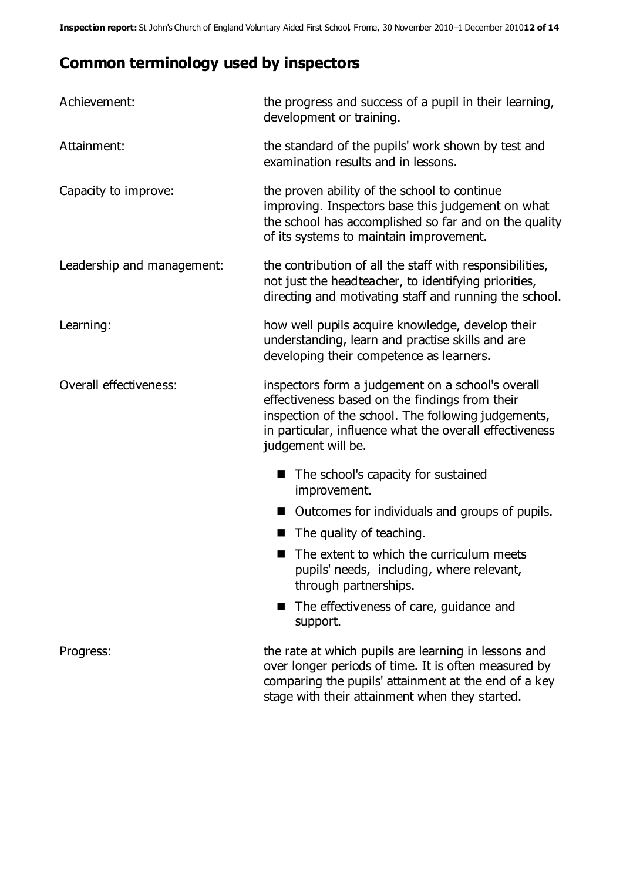# **Common terminology used by inspectors**

| Achievement:               | the progress and success of a pupil in their learning,<br>development or training.                                                                                                                                                          |
|----------------------------|---------------------------------------------------------------------------------------------------------------------------------------------------------------------------------------------------------------------------------------------|
| Attainment:                | the standard of the pupils' work shown by test and<br>examination results and in lessons.                                                                                                                                                   |
| Capacity to improve:       | the proven ability of the school to continue<br>improving. Inspectors base this judgement on what<br>the school has accomplished so far and on the quality<br>of its systems to maintain improvement.                                       |
| Leadership and management: | the contribution of all the staff with responsibilities,<br>not just the headteacher, to identifying priorities,<br>directing and motivating staff and running the school.                                                                  |
| Learning:                  | how well pupils acquire knowledge, develop their<br>understanding, learn and practise skills and are<br>developing their competence as learners.                                                                                            |
| Overall effectiveness:     | inspectors form a judgement on a school's overall<br>effectiveness based on the findings from their<br>inspection of the school. The following judgements,<br>in particular, influence what the overall effectiveness<br>judgement will be. |
|                            | The school's capacity for sustained<br>improvement.                                                                                                                                                                                         |
|                            | Outcomes for individuals and groups of pupils.                                                                                                                                                                                              |
|                            | The quality of teaching.                                                                                                                                                                                                                    |
|                            | The extent to which the curriculum meets<br>pupils' needs, including, where relevant,<br>through partnerships.                                                                                                                              |
|                            | The effectiveness of care, guidance and<br>support.                                                                                                                                                                                         |
| Progress:                  | the rate at which pupils are learning in lessons and<br>over longer periods of time. It is often measured by<br>comparing the pupils' attainment at the end of a key<br>stage with their attainment when they started.                      |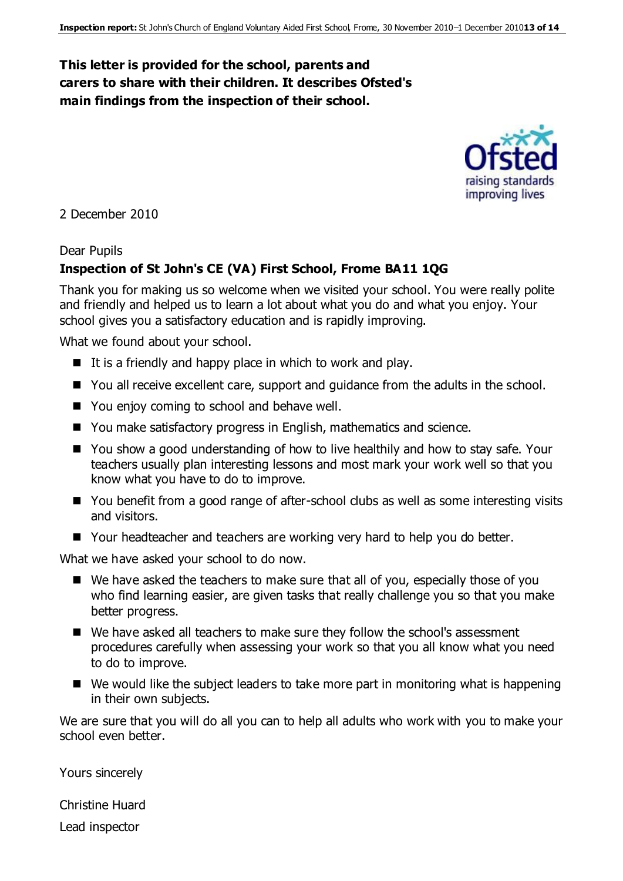## **This letter is provided for the school, parents and carers to share with their children. It describes Ofsted's main findings from the inspection of their school.**



2 December 2010

#### Dear Pupils

#### **Inspection of St John's CE (VA) First School, Frome BA11 1QG**

Thank you for making us so welcome when we visited your school. You were really polite and friendly and helped us to learn a lot about what you do and what you enjoy. Your school gives you a satisfactory education and is rapidly improving.

What we found about your school.

- $\blacksquare$  It is a friendly and happy place in which to work and play.
- You all receive excellent care, support and quidance from the adults in the school.
- You enjoy coming to school and behave well.
- You make satisfactory progress in English, mathematics and science.
- You show a good understanding of how to live healthily and how to stay safe. Your teachers usually plan interesting lessons and most mark your work well so that you know what you have to do to improve.
- You benefit from a good range of after-school clubs as well as some interesting visits and visitors.
- Your headteacher and teachers are working very hard to help you do better.

What we have asked your school to do now.

- We have asked the teachers to make sure that all of you, especially those of you who find learning easier, are given tasks that really challenge you so that you make better progress.
- We have asked all teachers to make sure they follow the school's assessment procedures carefully when assessing your work so that you all know what you need to do to improve.
- $\blacksquare$  We would like the subject leaders to take more part in monitoring what is happening in their own subjects.

We are sure that you will do all you can to help all adults who work with you to make your school even better.

Yours sincerely

Christine Huard

Lead inspector